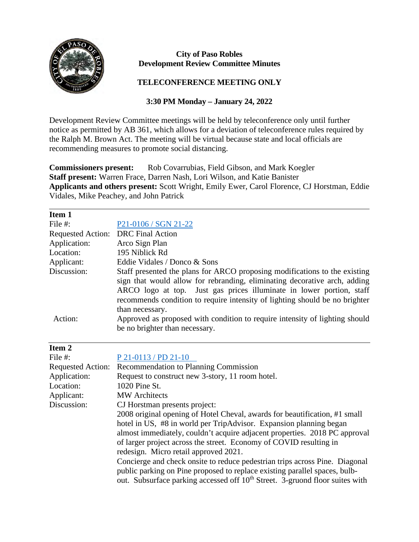

## **City of Paso Robles Development Review Committee Minutes**

## **TELECONFERENCE MEETING ONLY**

## **3:30 PM Monday – January 24, 2022**

Development Review Committee meetings will be held by teleconference only until further notice as permitted by AB 361, which allows for a deviation of teleconference rules required by the Ralph M. Brown Act. The meeting will be virtual because state and local officials are recommending measures to promote social distancing.

**Commissioners present:** Rob Covarrubias, Field Gibson, and Mark Koegler **Staff present:** Warren Frace, Darren Nash, Lori Wilson, and Katie Banister **Applicants and others present:** Scott Wright, Emily Ewer, Carol Florence, CJ Horstman, Eddie Vidales, Mike Peachey, and John Patrick

| Item 1       |                                                                                                                                                                                                                                                                                                                                   |
|--------------|-----------------------------------------------------------------------------------------------------------------------------------------------------------------------------------------------------------------------------------------------------------------------------------------------------------------------------------|
| File #:      | P21-0106 / SGN 21-22                                                                                                                                                                                                                                                                                                              |
|              | Requested Action: DRC Final Action                                                                                                                                                                                                                                                                                                |
| Application: | Arco Sign Plan                                                                                                                                                                                                                                                                                                                    |
| Location:    | 195 Niblick Rd                                                                                                                                                                                                                                                                                                                    |
| Applicant:   | Eddie Vidales / Donco & Sons                                                                                                                                                                                                                                                                                                      |
| Discussion:  | Staff presented the plans for ARCO proposing modifications to the existing<br>sign that would allow for rebranding, eliminating decorative arch, adding<br>ARCO logo at top. Just gas prices illuminate in lower portion, staff<br>recommends condition to require intensity of lighting should be no brighter<br>than necessary. |
| Action:      | Approved as proposed with condition to require intensity of lighting should<br>be no brighter than necessary.                                                                                                                                                                                                                     |

| Item 2                   |                                                                                          |
|--------------------------|------------------------------------------------------------------------------------------|
| File $#$ :               | P 21-0113 / PD 21-10                                                                     |
| <b>Requested Action:</b> | Recommendation to Planning Commission                                                    |
| Application:             | Request to construct new 3-story, 11 room hotel.                                         |
| Location:                | 1020 Pine St.                                                                            |
| Applicant:               | <b>MW</b> Architects                                                                     |
| Discussion:              | CJ Horstman presents project:                                                            |
|                          | 2008 original opening of Hotel Cheval, awards for beautification, #1 small               |
|                          | hotel in US, #8 in world per TripAdvisor. Expansion planning began                       |
|                          | almost immediately, couldn't acquire adjacent properties. 2018 PC approval               |
|                          | of larger project across the street. Economy of COVID resulting in                       |
|                          | redesign. Micro retail approved 2021.                                                    |
|                          | Concierge and check onsite to reduce pedestrian trips across Pine. Diagonal              |
|                          | public parking on Pine proposed to replace existing parallel spaces, bulb-               |
|                          | out. Subsurface parking accessed off 10 <sup>th</sup> Street. 3-gruond floor suites with |